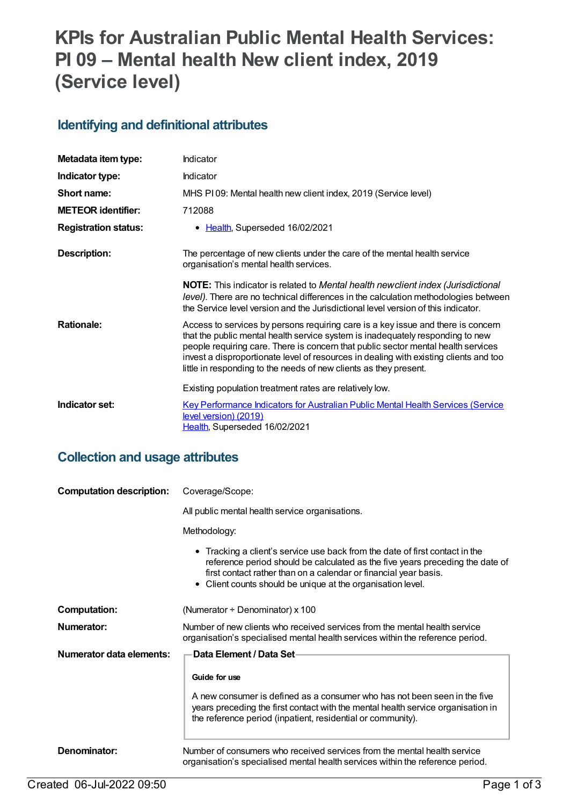# **KPIs for Australian Public Mental Health Services: PI 09 – Mental health New client index, 2019 (Service level)**

### **Identifying and definitional attributes**

| Metadata item type:         | Indicator                                                                                                                                                                                                                                                                                                                                                                                                             |
|-----------------------------|-----------------------------------------------------------------------------------------------------------------------------------------------------------------------------------------------------------------------------------------------------------------------------------------------------------------------------------------------------------------------------------------------------------------------|
| Indicator type:             | Indicator                                                                                                                                                                                                                                                                                                                                                                                                             |
| Short name:                 | MHS PI09: Mental health new client index, 2019 (Service level)                                                                                                                                                                                                                                                                                                                                                        |
| <b>METEOR identifier:</b>   | 712088                                                                                                                                                                                                                                                                                                                                                                                                                |
| <b>Registration status:</b> | • Health, Superseded 16/02/2021                                                                                                                                                                                                                                                                                                                                                                                       |
| Description:                | The percentage of new clients under the care of the mental health service<br>organisation's mental health services.                                                                                                                                                                                                                                                                                                   |
|                             | <b>NOTE:</b> This indicator is related to Mental health newclient index (Jurisdictional<br>level). There are no technical differences in the calculation methodologies between<br>the Service level version and the Jurisdictional level version of this indicator.                                                                                                                                                   |
| <b>Rationale:</b>           | Access to services by persons requiring care is a key issue and there is concern<br>that the public mental health service system is inadequately responding to new<br>people requiring care. There is concern that public sector mental health services<br>invest a disproportionate level of resources in dealing with existing clients and too<br>little in responding to the needs of new clients as they present. |
|                             | Existing population treatment rates are relatively low.                                                                                                                                                                                                                                                                                                                                                               |
| Indicator set:              | <b>Key Performance Indicators for Australian Public Mental Health Services (Service</b><br>level version) (2019)<br>Health, Superseded 16/02/2021                                                                                                                                                                                                                                                                     |

### **Collection and usage attributes**

| <b>Computation description:</b> | Coverage/Scope:                                                                                                                                                                                                                                                                                  |
|---------------------------------|--------------------------------------------------------------------------------------------------------------------------------------------------------------------------------------------------------------------------------------------------------------------------------------------------|
|                                 | All public mental health service organisations.                                                                                                                                                                                                                                                  |
|                                 | Methodology:                                                                                                                                                                                                                                                                                     |
|                                 | • Tracking a client's service use back from the date of first contact in the<br>reference period should be calculated as the five years preceding the date of<br>first contact rather than on a calendar or financial year basis.<br>• Client counts should be unique at the organisation level. |
| <b>Computation:</b>             | (Numerator $\div$ Denominator) x 100                                                                                                                                                                                                                                                             |
| Numerator:                      | Number of new clients who received services from the mental health service<br>organisation's specialised mental health services within the reference period.                                                                                                                                     |
| Numerator data elements:        | Data Element / Data Set-                                                                                                                                                                                                                                                                         |
|                                 | Guide for use                                                                                                                                                                                                                                                                                    |
|                                 | A new consumer is defined as a consumer who has not been seen in the five<br>years preceding the first contact with the mental health service organisation in<br>the reference period (inpatient, residential or community).                                                                     |
| Denominator:                    | Number of consumers who received services from the mental health service<br>organisation's specialised mental health services within the reference period.                                                                                                                                       |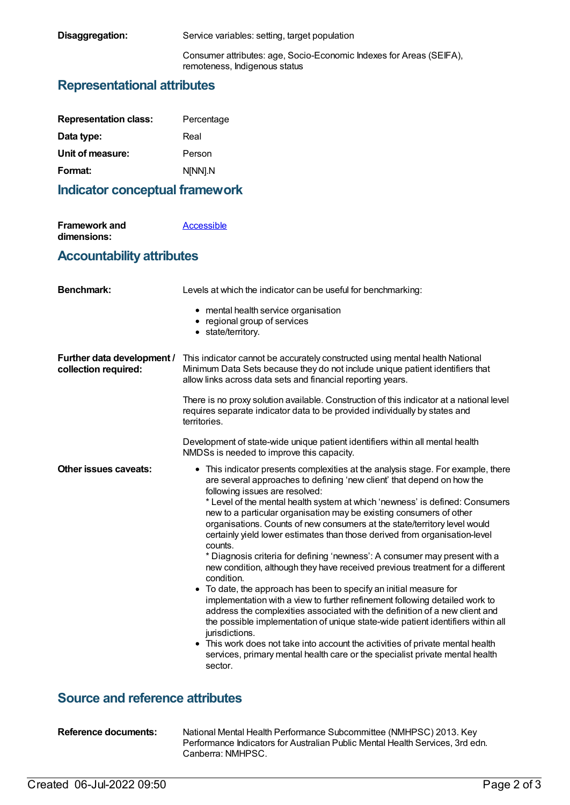| Disaggregation: | Service variables: setting, target population                                                        |
|-----------------|------------------------------------------------------------------------------------------------------|
|                 | Consumer attributes: age, Socio-Economic Indexes for Areas (SEIFA),<br>remoteness, Indigenous status |

# **Representational attributes**

| <b>Representation class:</b> | Percentage |
|------------------------------|------------|
| Data type:                   | Real       |
| Unit of measure:             | Person     |
| Format:                      | N[NN].N    |

# **Indicator conceptual framework**

| <b>Framework and</b> | Accessible |
|----------------------|------------|
| dimensions:          |            |

# **Accountability attributes**

| <b>Benchmark:</b>                                  | Levels at which the indicator can be useful for benchmarking:                                                                                                                                                                                                                                                                                                                                                                                                                                                                                                                                                                                                                                                                                                                                                                                                                                                                                                                                                                                                                                                                                                                                                                |
|----------------------------------------------------|------------------------------------------------------------------------------------------------------------------------------------------------------------------------------------------------------------------------------------------------------------------------------------------------------------------------------------------------------------------------------------------------------------------------------------------------------------------------------------------------------------------------------------------------------------------------------------------------------------------------------------------------------------------------------------------------------------------------------------------------------------------------------------------------------------------------------------------------------------------------------------------------------------------------------------------------------------------------------------------------------------------------------------------------------------------------------------------------------------------------------------------------------------------------------------------------------------------------------|
|                                                    | • mental health service organisation<br>• regional group of services<br>• state/territory.                                                                                                                                                                                                                                                                                                                                                                                                                                                                                                                                                                                                                                                                                                                                                                                                                                                                                                                                                                                                                                                                                                                                   |
| Further data development /<br>collection required: | This indicator cannot be accurately constructed using mental health National<br>Minimum Data Sets because they do not include unique patient identifiers that<br>allow links across data sets and financial reporting years.                                                                                                                                                                                                                                                                                                                                                                                                                                                                                                                                                                                                                                                                                                                                                                                                                                                                                                                                                                                                 |
|                                                    | There is no proxy solution available. Construction of this indicator at a national level<br>requires separate indicator data to be provided individually by states and<br>territories.                                                                                                                                                                                                                                                                                                                                                                                                                                                                                                                                                                                                                                                                                                                                                                                                                                                                                                                                                                                                                                       |
|                                                    | Development of state-wide unique patient identifiers within all mental health<br>NMDSs is needed to improve this capacity.                                                                                                                                                                                                                                                                                                                                                                                                                                                                                                                                                                                                                                                                                                                                                                                                                                                                                                                                                                                                                                                                                                   |
| Other issues caveats:                              | • This indicator presents complexities at the analysis stage. For example, there<br>are several approaches to defining 'new client' that depend on how the<br>following issues are resolved:<br>* Level of the mental health system at which 'newness' is defined: Consumers<br>new to a particular organisation may be existing consumers of other<br>organisations. Counts of new consumers at the state/territory level would<br>certainly yield lower estimates than those derived from organisation-level<br>counts.<br>* Diagnosis criteria for defining 'newness': A consumer may present with a<br>new condition, although they have received previous treatment for a different<br>condition.<br>• To date, the approach has been to specify an initial measure for<br>implementation with a view to further refinement following detailed work to<br>address the complexities associated with the definition of a new client and<br>the possible implementation of unique state-wide patient identifiers within all<br>jurisdictions.<br>• This work does not take into account the activities of private mental health<br>services, primary mental health care or the specialist private mental health<br>sector. |

### **Source and reference attributes**

| <b>Reference documents:</b> | National Mental Health Performance Subcommittee (NMHPSC) 2013. Key            |
|-----------------------------|-------------------------------------------------------------------------------|
|                             | Performance Indicators for Australian Public Mental Health Services, 3rd edn. |
|                             | Canberra: NMHPSC.                                                             |